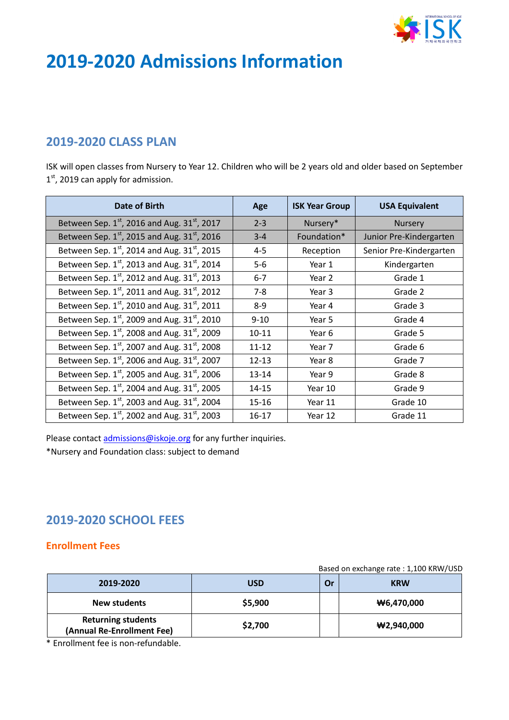

# **2019-2020 Admissions Information**

## **2019-2020 CLASS PLAN**

ISK will open classes from Nursery to Year 12. Children who will be 2 years old and older based on September 1<sup>st</sup>, 2019 can apply for admission.

| Date of Birth                                           | Age       | <b>ISK Year Group</b> | <b>USA Equivalent</b>   |
|---------------------------------------------------------|-----------|-----------------------|-------------------------|
| Between Sep. 1st, 2016 and Aug. 31st, 2017              | $2 - 3$   | Nursery*              | <b>Nursery</b>          |
| Between Sep. 1st, 2015 and Aug. 31st, 2016              | $3 - 4$   | Foundation*           | Junior Pre-Kindergarten |
| Between Sep. 1st, 2014 and Aug. 31st, 2015              | $4 - 5$   | Reception             | Senior Pre-Kindergarten |
| Between Sep. 1st, 2013 and Aug. 31st, 2014              | $5-6$     | Year 1                | Kindergarten            |
| Between Sep. $1^{st}$ , 2012 and Aug. 31st, 2013        | $6 - 7$   | Year 2                | Grade 1                 |
| Between Sep. $1^{st}$ , 2011 and Aug. 31st, 2012        | 7-8       | Year 3                | Grade 2                 |
| Between Sep. 1st, 2010 and Aug. 31st, 2011              | $8-9$     | Year 4                | Grade 3                 |
| Between Sep. $1^{st}$ , 2009 and Aug. 31st, 2010        | $9 - 10$  | Year 5                | Grade 4                 |
| Between Sep. 1st, 2008 and Aug. 31st, 2009              | $10 - 11$ | Year 6                | Grade 5                 |
| Between Sep. $1^{st}$ , 2007 and Aug. 31st, 2008        | $11 - 12$ | Year 7                | Grade 6                 |
| Between Sep. 1st, 2006 and Aug. 31st, 2007              | $12 - 13$ | Year 8                | Grade 7                 |
| Between Sep. $1^{st}$ , 2005 and Aug. 31 $^{st}$ , 2006 | $13 - 14$ | Year 9                | Grade 8                 |
| Between Sep. 1st, 2004 and Aug. 31st, 2005              | 14-15     | Year 10               | Grade 9                 |
| Between Sep. $1^{st}$ , 2003 and Aug. 31st, 2004        | 15-16     | Year 11               | Grade 10                |
| Between Sep. $1^{st}$ , 2002 and Aug. 31st, 2003        | 16-17     | Year 12               | Grade 11                |

Please contact **admissions@iskoje.org** for any further inquiries.

\*Nursery and Foundation class: subject to demand

# **2019-2020 SCHOOL FEES**

#### **Enrollment Fees**

Based on exchange rate : 1,100 KRW/USD

| 2019-2020                                               | <b>USD</b> | Or | <b>KRW</b>    |
|---------------------------------------------------------|------------|----|---------------|
| New students                                            | \$5,900    |    | ₩6,470,000    |
| <b>Returning students</b><br>(Annual Re-Enrollment Fee) | \$2,700    |    | $\#2,940,000$ |

\* Enrollment fee is non-refundable.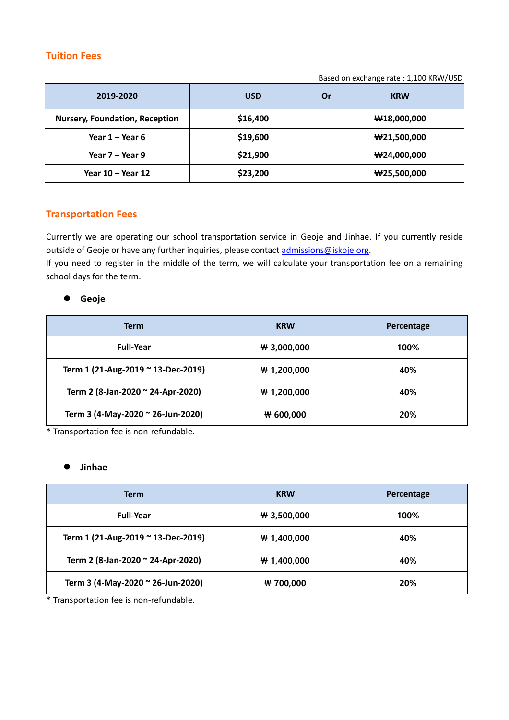#### **Tuition Fees**

Based on exchange rate : 1,100 KRW/USD

| 2019-2020                             | <b>USD</b> | Or | <b>KRW</b>              |
|---------------------------------------|------------|----|-------------------------|
| <b>Nursery, Foundation, Reception</b> | \$16,400   |    | $\textbf{W}18,000,000$  |
| Year $1 -$ Year 6                     | \$19,600   |    | $\textbf{W}21,500,000$  |
| Year 7 – Year 9                       | \$21,900   |    | $\textbf{W}$ 24,000,000 |
| Year 10 – Year 12                     | \$23,200   |    | $\#25,500,000$          |

#### **Transportation Fees**

Currently we are operating our school transportation service in Geoje and Jinhae. If you currently reside outside of Geoje or have any further inquiries, please contact *admissions@iskoje.org*.

If you need to register in the middle of the term, we will calculate your transportation fee on a remaining school days for the term.

#### **Geoje**

| <b>Term</b>                        | <b>KRW</b>    | Percentage |
|------------------------------------|---------------|------------|
| <b>Full-Year</b>                   | $W$ 3,000,000 | 100%       |
| Term 1 (21-Aug-2019 ~ 13-Dec-2019) | # 1,200,000   | 40%        |
| Term 2 (8-Jan-2020 ~ 24-Apr-2020)  | # 1,200,000   | 40%        |
| Term 3 (4-May-2020 ~ 26-Jun-2020)  | ₩ 600,000     | 20%        |

\* Transportation fee is non-refundable.

#### **Jinhae**

| <b>Term</b>                        | <b>KRW</b>    | Percentage |
|------------------------------------|---------------|------------|
| <b>Full-Year</b>                   | $W$ 3,500,000 | 100%       |
| Term 1 (21-Aug-2019 ~ 13-Dec-2019) | W 1,400,000   | 40%        |
| Term 2 (8-Jan-2020 ~ 24-Apr-2020)  | W 1,400,000   | 40%        |
| Term 3 (4-May-2020 ~ 26-Jun-2020)  | ₩ 700,000     | 20%        |

\* Transportation fee is non-refundable.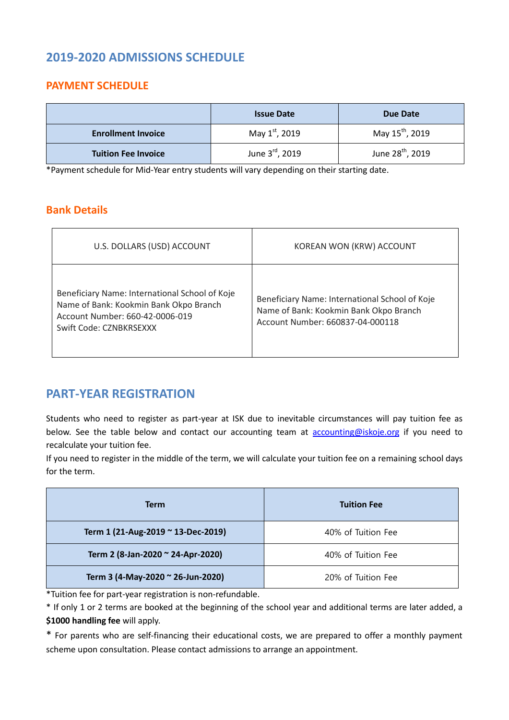# **2019-2020 ADMISSIONS SCHEDULE**

### **PAYMENT SCHEDULE**

|                            | <b>Issue Date</b> | Due Date                     |
|----------------------------|-------------------|------------------------------|
| <b>Enrollment Invoice</b>  | May 1st, 2019     | May 15 <sup>th</sup> , 2019  |
| <b>Tuition Fee Invoice</b> | June 3rd, 2019    | June 28 <sup>th</sup> , 2019 |

\*Payment schedule for Mid-Year entry students will vary depending on their starting date.

### **Bank Details**

| U.S. DOLLARS (USD) ACCOUNT                                                                                                                             | KOREAN WON (KRW) ACCOUNT                                                                                                     |
|--------------------------------------------------------------------------------------------------------------------------------------------------------|------------------------------------------------------------------------------------------------------------------------------|
| Beneficiary Name: International School of Koje<br>Name of Bank: Kookmin Bank Okpo Branch<br>Account Number: 660-42-0006-019<br>Swift Code: CZNBKRSEXXX | Beneficiary Name: International School of Koje<br>Name of Bank: Kookmin Bank Okpo Branch<br>Account Number: 660837-04-000118 |

### **PART-YEAR REGISTRATION**

Students who need to register as part-year at ISK due to inevitable circumstances will pay tuition fee as below. See the table below and contact our accounting team at **accounting@iskoje.org** if you need to recalculate your tuition fee.

If you need to register in the middle of the term, we will calculate your tuition fee on a remaining school days for the term.

| <b>Term</b>                        | <b>Tuition Fee</b> |
|------------------------------------|--------------------|
| Term 1 (21-Aug-2019 ~ 13-Dec-2019) | 40% of Tuition Fee |
| Term 2 (8-Jan-2020 ~ 24-Apr-2020)  | 40% of Tuition Fee |
| Term 3 (4-May-2020 ~ 26-Jun-2020)  | 20% of Tuition Fee |

\*Tuition fee for part-year registration is non-refundable.

\* If only 1 or 2 terms are booked at the beginning of the school year and additional terms are later added, a **\$1000 handling fee** will apply.

\* For parents who are self-financing their educational costs, we are prepared to offer a monthly payment scheme upon consultation. Please contact admissions to arrange an appointment.